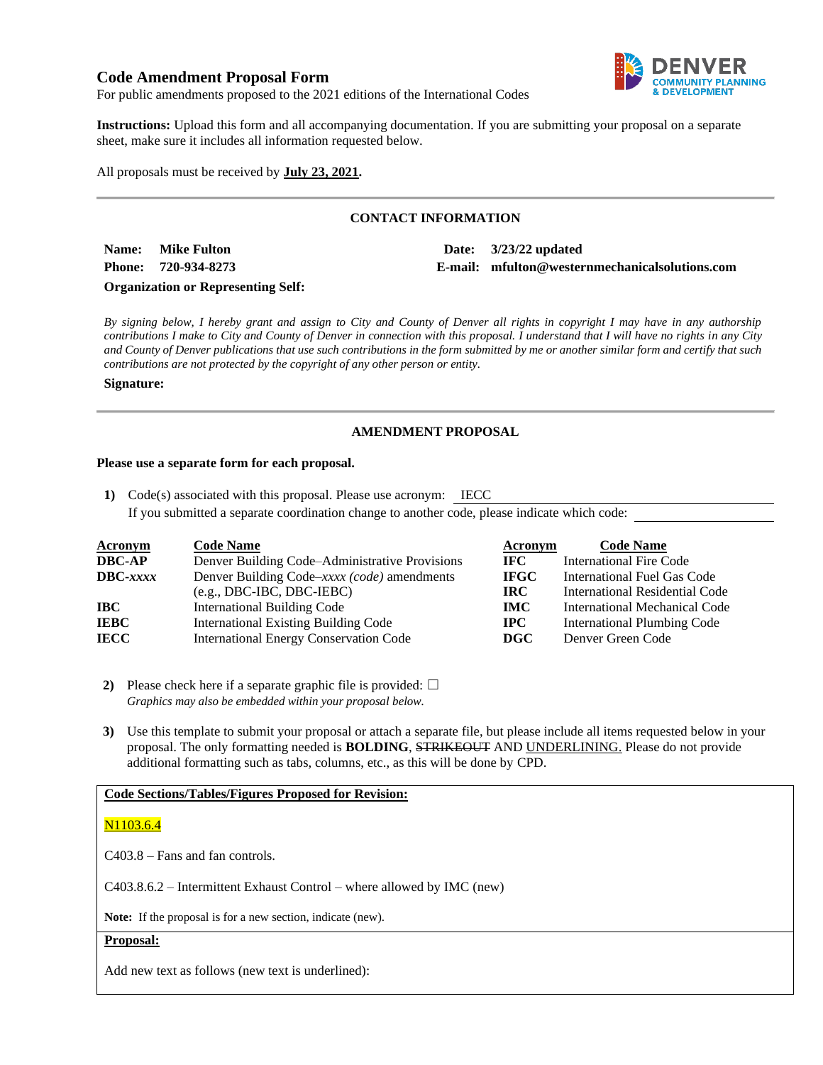# **Code Amendment Proposal Form**



For public amendments proposed to the 2021 editions of the International Codes

**Instructions:** Upload this form and all accompanying documentation. If you are submitting your proposal on a separate sheet, make sure it includes all information requested below.

All proposals must be received by **July 23, 2021.**

## **CONTACT INFORMATION**

**Name:** Mike Fulton **Date:** 3/23/22 updated

**Phone: 720-934-8273 E-mail: mfulton@westernmechanicalsolutions.com**

**Organization or Representing Self:**

*By signing below, I hereby grant and assign to City and County of Denver all rights in copyright I may have in any authorship contributions I make to City and County of Denver in connection with this proposal. I understand that I will have no rights in any City and County of Denver publications that use such contributions in the form submitted by me or another similar form and certify that such contributions are not protected by the copyright of any other person or entity.* 

#### **Signature:**

## **AMENDMENT PROPOSAL**

#### **Please use a separate form for each proposal.**

**1)** Code(s) associated with this proposal. Please use acronym: IECC If you submitted a separate coordination change to another code, please indicate which code:

| <b>Acronym</b>    | <b>Code Name</b>                               | Acronym      | <b>Code Name</b>                     |
|-------------------|------------------------------------------------|--------------|--------------------------------------|
| <b>DBC-AP</b>     | Denver Building Code-Administrative Provisions | IFC.         | <b>International Fire Code</b>       |
| $\text{DBC}-xxxx$ | Denver Building Code–xxxx (code) amendments    | <b>IFGC</b>  | International Fuel Gas Code          |
|                   | $(e.g., DBC-IBC, DBC-IEBC)$                    | <b>IRC</b>   | International Residential Code       |
| <b>IBC</b>        | <b>International Building Code</b>             | <b>IMC</b>   | <b>International Mechanical Code</b> |
| <b>IEBC</b>       | <b>International Existing Building Code</b>    | $_{\rm IPC}$ | <b>International Plumbing Code</b>   |
| <b>IECC</b>       | <b>International Energy Conservation Code</b>  | DGC          | Denver Green Code                    |

**2)** Please check here if a separate graphic file is provided:  $\Box$ *Graphics may also be embedded within your proposal below.*

**3)** Use this template to submit your proposal or attach a separate file, but please include all items requested below in your proposal. The only formatting needed is **BOLDING**, STRIKEOUT AND UNDERLINING. Please do not provide additional formatting such as tabs, columns, etc., as this will be done by CPD.

### **Code Sections/Tables/Figures Proposed for Revision:**

### N<sub>1</sub>103.6.4

C403.8 – Fans and fan controls.

C403.8.6.2 – Intermittent Exhaust Control – where allowed by IMC (new)

**Note:** If the proposal is for a new section, indicate (new).

### **Proposal:**

Add new text as follows (new text is underlined):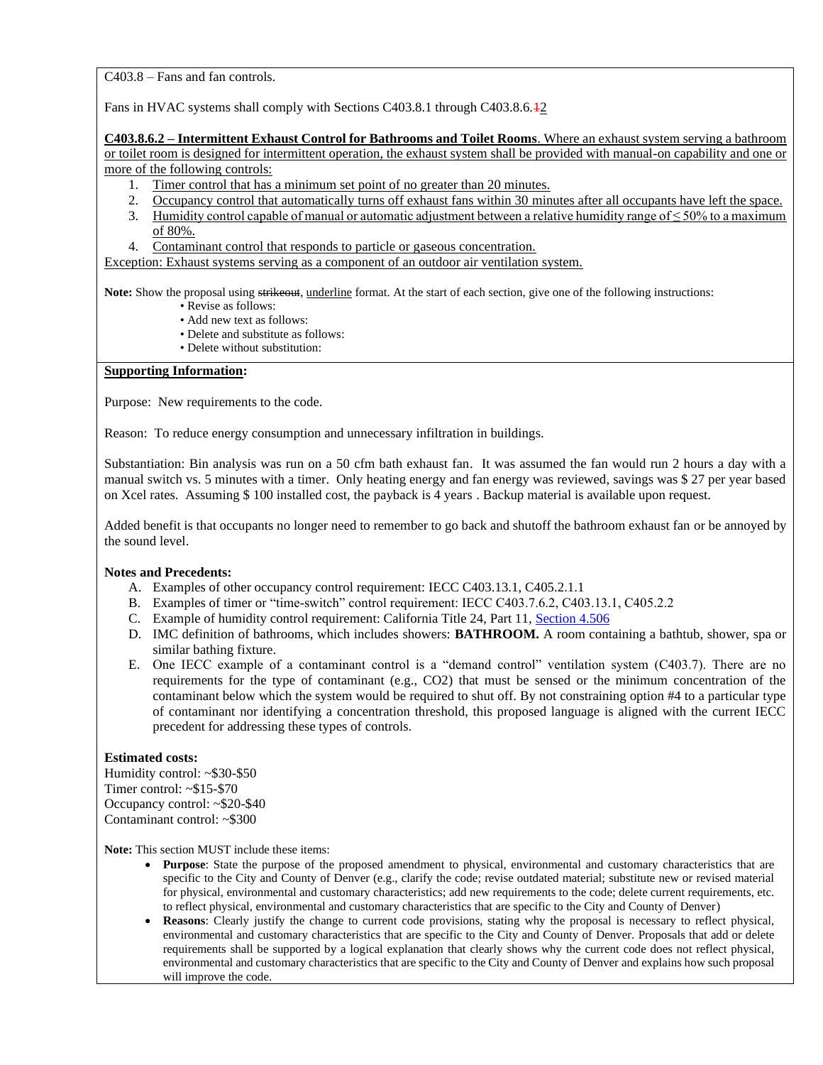C403.8 – Fans and fan controls.

Fans in HVAC systems shall comply with Sections C403.8.1 through C403.8.6.42

**C403.8.6.2 – Intermittent Exhaust Control for Bathrooms and Toilet Rooms**. Where an exhaust system serving a bathroom or toilet room is designed for intermittent operation, the exhaust system shall be provided with manual-on capability and one or more of the following controls:

- 1. Timer control that has a minimum set point of no greater than 20 minutes.
- 2. Occupancy control that automatically turns off exhaust fans within 30 minutes after all occupants have left the space.
- 3. Humidity control capable of manual or automatic adjustment between a relative humidity range of  $\leq 50\%$  to a maximum of 80%.
- 4. Contaminant control that responds to particle or gaseous concentration.

Exception: Exhaust systems serving as a component of an outdoor air ventilation system.

Note: Show the proposal using strikeout, underline format. At the start of each section, give one of the following instructions:

- Revise as follows:
- Add new text as follows:
- Delete and substitute as follows:
- Delete without substitution:

## **Supporting Information:**

Purpose: New requirements to the code.

Reason: To reduce energy consumption and unnecessary infiltration in buildings.

Substantiation: Bin analysis was run on a 50 cfm bath exhaust fan. It was assumed the fan would run 2 hours a day with a manual switch vs. 5 minutes with a timer. Only heating energy and fan energy was reviewed, savings was \$ 27 per year based on Xcel rates. Assuming \$ 100 installed cost, the payback is 4 years . Backup material is available upon request.

Added benefit is that occupants no longer need to remember to go back and shutoff the bathroom exhaust fan or be annoyed by the sound level.

#### **Notes and Precedents:**

- A. Examples of other occupancy control requirement: IECC C403.13.1, C405.2.1.1
- B. Examples of timer or "time-switch" control requirement: IECC C403.7.6.2, C403.13.1, C405.2.2
- C. Example of humidity control requirement: California Title 24, Part 11, [Section 4.506](https://codes.iccsafe.org/content/CAGBC2019JUL21S/chapter-4-residential-mandatory-measures)
- D. IMC definition of bathrooms, which includes showers: **BATHROOM.** A room containing a bathtub, shower, spa or similar bathing fixture.
- E. One IECC example of a contaminant control is a "demand control" ventilation system (C403.7). There are no requirements for the type of contaminant (e.g., CO2) that must be sensed or the minimum concentration of the contaminant below which the system would be required to shut off. By not constraining option #4 to a particular type of contaminant nor identifying a concentration threshold, this proposed language is aligned with the current IECC precedent for addressing these types of controls.

### **Estimated costs:**

Humidity control: ~\$30-\$50 Timer control: ~\$15-\$70 Occupancy control: ~\$20-\$40 Contaminant control: ~\$300

**Note:** This section MUST include these items:

- **Purpose**: State the purpose of the proposed amendment to physical, environmental and customary characteristics that are specific to the City and County of Denver (e.g., clarify the code; revise outdated material; substitute new or revised material for physical, environmental and customary characteristics; add new requirements to the code; delete current requirements, etc. to reflect physical, environmental and customary characteristics that are specific to the City and County of Denver)
- **Reasons**: Clearly justify the change to current code provisions, stating why the proposal is necessary to reflect physical, environmental and customary characteristics that are specific to the City and County of Denver. Proposals that add or delete requirements shall be supported by a logical explanation that clearly shows why the current code does not reflect physical, environmental and customary characteristics that are specific to the City and County of Denver and explains how such proposal will improve the code.